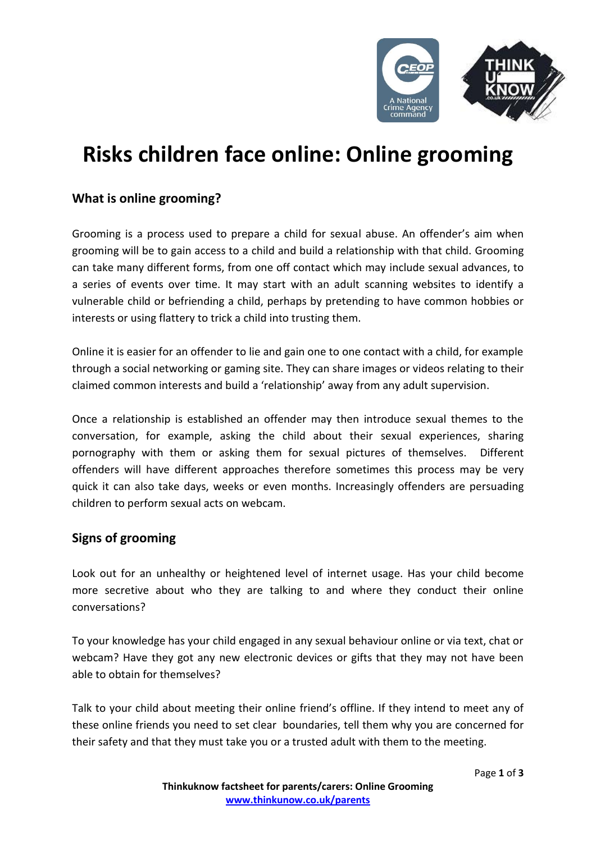

# **Risks children face online: Online grooming**

# **What is online grooming?**

Grooming is a process used to prepare a child for sexual abuse. An offender's aim when grooming will be to gain access to a child and build a relationship with that child. Grooming can take many different forms, from one off contact which may include sexual advances, to a series of events over time. It may start with an adult scanning websites to identify a vulnerable child or befriending a child, perhaps by pretending to have common hobbies or interests or using flattery to trick a child into trusting them.

Online it is easier for an offender to lie and gain one to one contact with a child, for example through a social networking or gaming site. They can share images or videos relating to their claimed common interests and build a 'relationship' away from any adult supervision.

Once a relationship is established an offender may then introduce sexual themes to the conversation, for example, asking the child about their sexual experiences, sharing pornography with them or asking them for sexual pictures of themselves. Different offenders will have different approaches therefore sometimes this process may be very quick it can also take days, weeks or even months. Increasingly offenders are persuading children to perform sexual acts on webcam.

## **Signs of grooming**

Look out for an unhealthy or heightened level of internet usage. Has your child become more secretive about who they are talking to and where they conduct their online conversations?

To your knowledge has your child engaged in any sexual behaviour online or via text, chat or webcam? Have they got any new electronic devices or gifts that they may not have been able to obtain for themselves?

Talk to your child about meeting their online friend's offline. If they intend to meet any of these online friends you need to set clear boundaries, tell them why you are concerned for their safety and that they must take you or a trusted adult with them to the meeting.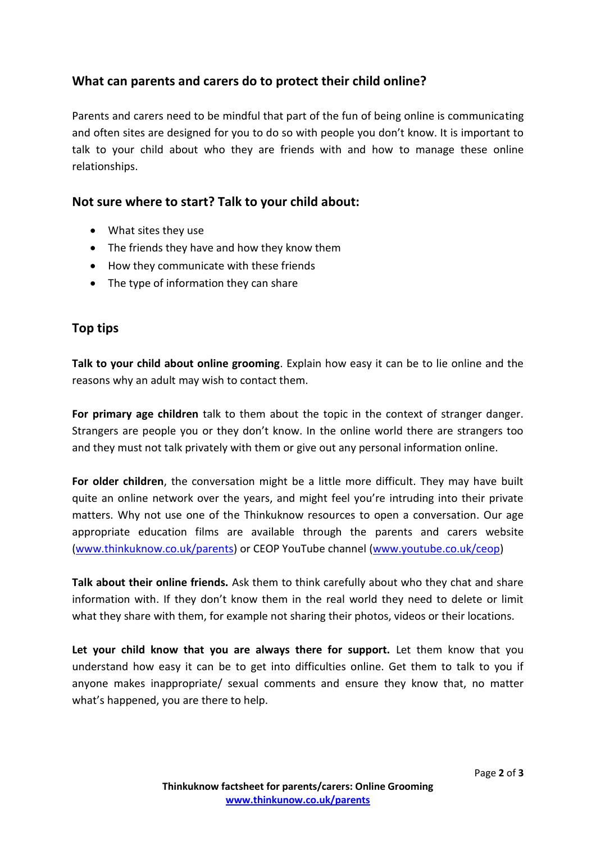# **What can parents and carers do to protect their child online?**

Parents and carers need to be mindful that part of the fun of being online is communicating and often sites are designed for you to do so with people you don't know. It is important to talk to your child about who they are friends with and how to manage these online relationships.

### **Not sure where to start? Talk to your child about:**

- What sites they use
- The friends they have and how they know them
- How they communicate with these friends
- The type of information they can share

#### **Top tips**

**Talk to your child about online grooming**. Explain how easy it can be to lie online and the reasons why an adult may wish to contact them.

**For primary age children** talk to them about the topic in the context of stranger danger. Strangers are people you or they don't know. In the online world there are strangers too and they must not talk privately with them or give out any personal information online.

**For older children**, the conversation might be a little more difficult. They may have built quite an online network over the years, and might feel you're intruding into their private matters. Why not use one of the Thinkuknow resources to open a conversation. Our age appropriate education films are available through the parents and carers website [\(www.thinkuknow.co.uk/parents\)](http://www.thinkuknow.co.uk/parents) or CEOP YouTube channel [\(www.youtube.co.uk/ceop\)](http://www.youtube.co.uk/ceop)

**Talk about their online friends.** Ask them to think carefully about who they chat and share information with. If they don't know them in the real world they need to delete or limit what they share with them, for example not sharing their photos, videos or their locations.

**Let your child know that you are always there for support.** Let them know that you understand how easy it can be to get into difficulties online. Get them to talk to you if anyone makes inappropriate/ sexual comments and ensure they know that, no matter what's happened, you are there to help.